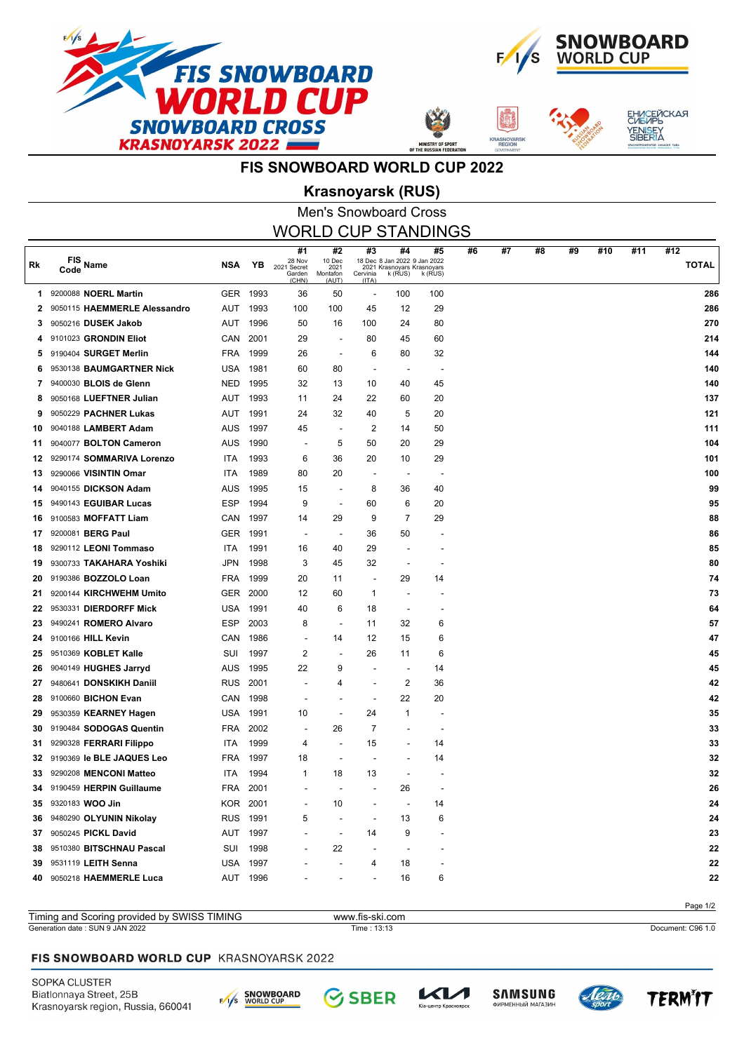



**ASNOYA** 



# **FIS SNOWBOARD WORLD CUP 2022**

## Men's Snowboard Cross **Krasnoyarsk (RUS)**

| WORLD CUP STANDINGS |                              |            |          |                                       |                                  |                                   |                                                                             |               |    |    |    |    |     |     |                     |
|---------------------|------------------------------|------------|----------|---------------------------------------|----------------------------------|-----------------------------------|-----------------------------------------------------------------------------|---------------|----|----|----|----|-----|-----|---------------------|
| Rk                  | FIS Name<br>Code             | <b>NSA</b> | ΥB       | #1<br>28 Nov<br>2021 Secret<br>Garden | #2<br>10 Dec<br>2021<br>Montafon | #3<br>Cervinia                    | #4<br>18 Dec 8 Jan 2022 9 Jan 2022<br>2021 Krasnoyars Krasnoyars<br>k (RUS) | #5<br>k (RUS) | #6 | #7 | #8 | #9 | #10 | #11 | #12<br><b>TOTAL</b> |
| 1.                  | 9200088 NOERL Martin         |            | GER 1993 | (CHN)<br>36                           | (AUT)<br>50                      | (ITA)<br>$\overline{\phantom{a}}$ | 100                                                                         | 100           |    |    |    |    |     |     | 286                 |
| 2                   | 9050115 HAEMMERLE Alessandro | AUT        | 1993     | 100                                   | 100                              | 45                                | 12                                                                          | 29            |    |    |    |    |     |     | 286                 |
| 3                   | 9050216 DUSEK Jakob          | AUT        | 1996     | 50                                    | 16                               | 100                               | 24                                                                          | 80            |    |    |    |    |     |     | 270                 |
| 4                   | 9101023 GRONDIN Eliot        | CAN        | 2001     | 29                                    |                                  | 80                                | 45                                                                          | 60            |    |    |    |    |     |     | 214                 |
| 5                   | 9190404 SURGET Merlin        | <b>FRA</b> | 1999     | 26                                    |                                  | 6                                 | 80                                                                          | 32            |    |    |    |    |     |     | 144                 |
| 6                   | 9530138 BAUMGARTNER Nick     | <b>USA</b> | 1981     | 60                                    | 80                               | $\overline{\phantom{a}}$          | $\overline{\phantom{a}}$                                                    |               |    |    |    |    |     |     | 140                 |
| 7                   | 9400030 BLOIS de Glenn       | <b>NED</b> | 1995     | 32                                    | 13                               | 10                                | 40                                                                          | 45            |    |    |    |    |     |     | 140                 |
| 8                   | 9050168 LUEFTNER Julian      | AUT        | 1993     | 11                                    | 24                               | 22                                | 60                                                                          | 20            |    |    |    |    |     |     | 137                 |
| 9                   | 9050229 PACHNER Lukas        | <b>AUT</b> | 1991     | 24                                    | 32                               | 40                                | 5                                                                           | 20            |    |    |    |    |     |     | 121                 |
| 10                  | 9040188 LAMBERT Adam         | AUS        | 1997     | 45                                    |                                  | 2                                 | 14                                                                          | 50            |    |    |    |    |     |     | 111                 |
| 11                  | 9040077 BOLTON Cameron       | <b>AUS</b> | 1990     | $\overline{\phantom{a}}$              | 5                                | 50                                | 20                                                                          | 29            |    |    |    |    |     |     | 104                 |
| 12                  | 9290174 SOMMARIVA Lorenzo    | ITA        | 1993     | 6                                     | 36                               | 20                                | 10                                                                          | 29            |    |    |    |    |     |     | 101                 |
| 13                  | 9290066 VISINTIN Omar        | <b>ITA</b> | 1989     | 80                                    | 20                               | $\overline{\phantom{a}}$          |                                                                             |               |    |    |    |    |     |     | 100                 |
| 14                  | 9040155 DICKSON Adam         | AUS        | 1995     | 15                                    |                                  | 8                                 | 36                                                                          | 40            |    |    |    |    |     |     | 99                  |
| 15                  | 9490143 EGUIBAR Lucas        | <b>ESP</b> | 1994     | 9                                     |                                  | 60                                | 6                                                                           | 20            |    |    |    |    |     |     | 95                  |
| 16                  | 9100583 MOFFATT Liam         | CAN        | 1997     | 14                                    | 29                               | 9                                 | $\overline{7}$                                                              | 29            |    |    |    |    |     |     | 88                  |
| 17                  | 9200081 BERG Paul            | <b>GER</b> | 1991     | $\overline{\phantom{a}}$              |                                  | 36                                | 50                                                                          |               |    |    |    |    |     |     | 86                  |
| 18                  | 9290112 LEONI Tommaso        | ITA        | 1991     | 16                                    | 40                               | 29                                |                                                                             |               |    |    |    |    |     |     | 85                  |
| 19                  | 9300733 TAKAHARA Yoshiki     | <b>JPN</b> | 1998     | 3                                     | 45                               | 32                                |                                                                             |               |    |    |    |    |     |     | 80                  |
| 20                  | 9190386 BOZZOLO Loan         | <b>FRA</b> | 1999     | 20                                    | 11                               | $\overline{\phantom{a}}$          | 29                                                                          | 14            |    |    |    |    |     |     | 74                  |
| 21                  | 9200144 KIRCHWEHM Umito      | <b>GER</b> | 2000     | 12                                    | 60                               | 1                                 |                                                                             |               |    |    |    |    |     |     | 73                  |
| 22                  | 9530331 DIERDORFF Mick       | <b>USA</b> | 1991     | 40                                    | 6                                | 18                                |                                                                             |               |    |    |    |    |     |     | 64                  |
| 23                  | 9490241 ROMERO Alvaro        | <b>ESP</b> | 2003     | 8                                     |                                  | 11                                | 32                                                                          | 6             |    |    |    |    |     |     | 57                  |
| 24                  | 9100166 HILL Kevin           | CAN        | 1986     | $\overline{\phantom{a}}$              | 14                               | 12                                | 15                                                                          | 6             |    |    |    |    |     |     | 47                  |
| 25                  | 9510369 KOBLET Kalle         | SUI        | 1997     | $\overline{c}$                        |                                  | 26                                | 11                                                                          | 6             |    |    |    |    |     |     | 45                  |
| 26                  | 9040149 HUGHES Jarryd        | AUS        | 1995     | 22                                    | 9                                |                                   |                                                                             | 14            |    |    |    |    |     |     | 45                  |
| 27                  | 9480641 DONSKIKH Daniil      | <b>RUS</b> | 2001     |                                       | 4                                |                                   | 2                                                                           | 36            |    |    |    |    |     |     | 42                  |
| 28                  | 9100660 BICHON Evan          | CAN        | 1998     |                                       |                                  |                                   | 22                                                                          | 20            |    |    |    |    |     |     | 42                  |
| 29                  | 9530359 KEARNEY Hagen        | USA        | 1991     | 10                                    |                                  | 24                                | 1                                                                           |               |    |    |    |    |     |     | 35                  |
| 30                  | 9190484 SODOGAS Quentin      | <b>FRA</b> | 2002     |                                       | 26                               | 7                                 |                                                                             |               |    |    |    |    |     |     | 33                  |
| 31                  | 9290328 FERRARI Filippo      | ITA        | 1999     | 4                                     |                                  | 15                                |                                                                             | 14            |    |    |    |    |     |     | 33                  |
| 32                  | 9190369 le BLE JAQUES Leo    | <b>FRA</b> | 1997     | 18                                    |                                  |                                   |                                                                             | 14            |    |    |    |    |     |     | 32                  |
| 33.                 | 9290208 MENCONI Matteo       | ITA        | 1994     | 1                                     | 18                               | 13                                |                                                                             |               |    |    |    |    |     |     | 32                  |
| 34                  | 9190459 HERPIN Guillaume     |            | FRA 2001 |                                       |                                  |                                   | 26                                                                          |               |    |    |    |    |     |     | 26                  |
|                     | 35 9320183 WOO Jin           |            | KOR 2001 |                                       | 10                               |                                   |                                                                             | 14            |    |    |    |    |     |     | 24                  |
| 36.                 | 9480290 OLYUNIN Nikolay      |            | RUS 1991 | 5                                     |                                  |                                   | 13                                                                          | 6             |    |    |    |    |     |     | 24                  |
| 37                  | 9050245 PICKL David          |            | AUT 1997 |                                       |                                  | 14                                | 9                                                                           |               |    |    |    |    |     |     | 23                  |
| 38                  | 9510380 BITSCHNAU Pascal     | SUI        | 1998     |                                       | 22                               |                                   |                                                                             |               |    |    |    |    |     |     | 22                  |
| 39                  | 9531119 LEITH Senna          |            | USA 1997 |                                       |                                  | 4                                 | 18                                                                          |               |    |    |    |    |     |     | 22                  |
| 40                  | 9050218 HAEMMERLE Luca       |            | AUT 1996 |                                       |                                  |                                   | 16                                                                          | 6             |    |    |    |    |     |     | 22                  |
|                     |                              |            |          |                                       |                                  |                                   |                                                                             |               |    |    |    |    |     |     |                     |

#### FIS SNOWBOARD WORLD CUP KRASNOYARSK 2022

Timing and Scoring provided by SWISS TIMING www.fis-ski.com

SOPKA CLUSTER Biatlonnaya Street, 25B Krasnoyarsk region, Russia, 660041



**SBER** 

レイノ

.<br>тр Красн

Generation date : SUN 9 JAN 2022 Time : 13:13 Document: C96 1.0







Page 1/2